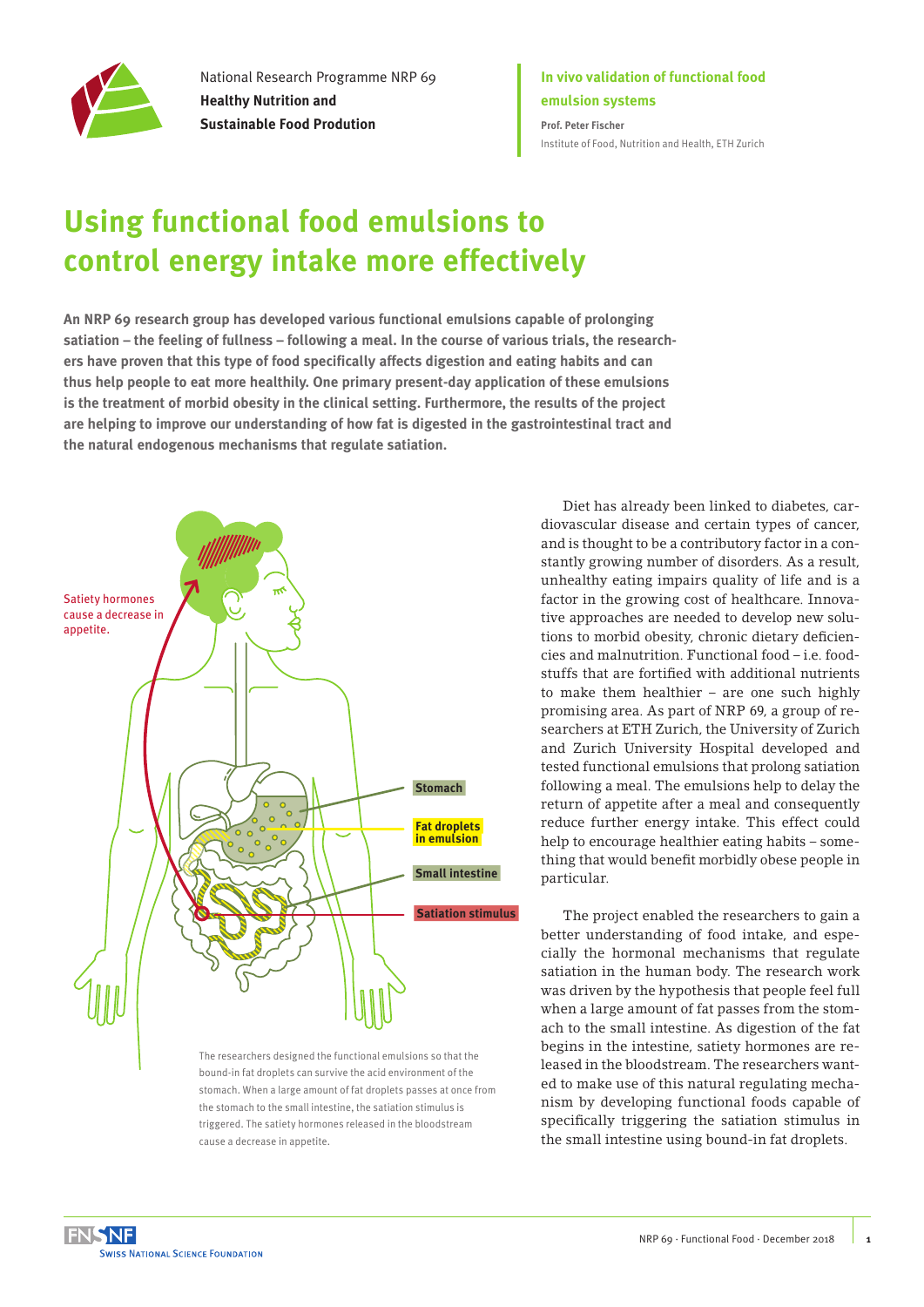

National Research Programme NRP 69 **Healthy Nutrition and Sustainable Food Prodution**

### **In vivo validation of functional food emulsion systems Prof. Peter Fischer**

[Institute of Food, Nutrition and Health, ETH Zurich](http://www.ifnh.ethz.ch/)

# **Using functional food emulsions to control energy intake more effectively**

**An NRP 69 research group has developed various functional emulsions capable of prolonging satiation – the feeling of fullness – following a meal. In the course of various trials, the researchers have proven that this type of food specifically affects digestion and eating habits and can thus help people to eat more healthily. One primary present-day application of these emulsions is the treatment of morbid obesity in the clinical setting. Furthermore, the results of the project are helping to improve our understanding of how fat is digested in the gastrointestinal tract and the natural endogenous mechanisms that regulate satiation.** 



bound-in fat droplets can survive the acid environment of the stomach. When a large amount of fat droplets passes at once from the stomach to the small intestine, the satiation stimulus is triggered. The satiety hormones released in the bloodstream cause a decrease in appetite.

Diet has already been linked to diabetes, cardiovascular disease and certain types of cancer, and is thought to be a contributory factor in a constantly growing number of disorders. As a result, unhealthy eating impairs quality of life and is a factor in the growing cost of healthcare. Innovative approaches are needed to develop new solutions to morbid obesity, chronic dietary deficiencies and malnutrition. Functional food – i.e. foodstuffs that are fortified with additional nutrients to make them healthier – are one such highly promising area. As part of NRP 69, a group of researchers at ETH Zurich, the University of Zurich and Zurich University Hospital developed and tested functional emulsions that prolong satiation following a meal. The emulsions help to delay the return of appetite after a meal and consequently reduce further energy intake. This effect could help to encourage healthier eating habits – something that would benefit morbidly obese people in particular.

The project enabled the researchers to gain a better understanding of food intake, and especially the hormonal mechanisms that regulate satiation in the human body. The research work was driven by the hypothesis that people feel full when a large amount of fat passes from the stomach to the small intestine. As digestion of the fat begins in the intestine, satiety hormones are released in the bloodstream. The researchers wanted to make use of this natural regulating mechanism by developing functional foods capable of specifically triggering the satiation stimulus in the small intestine using bound-in fat droplets.